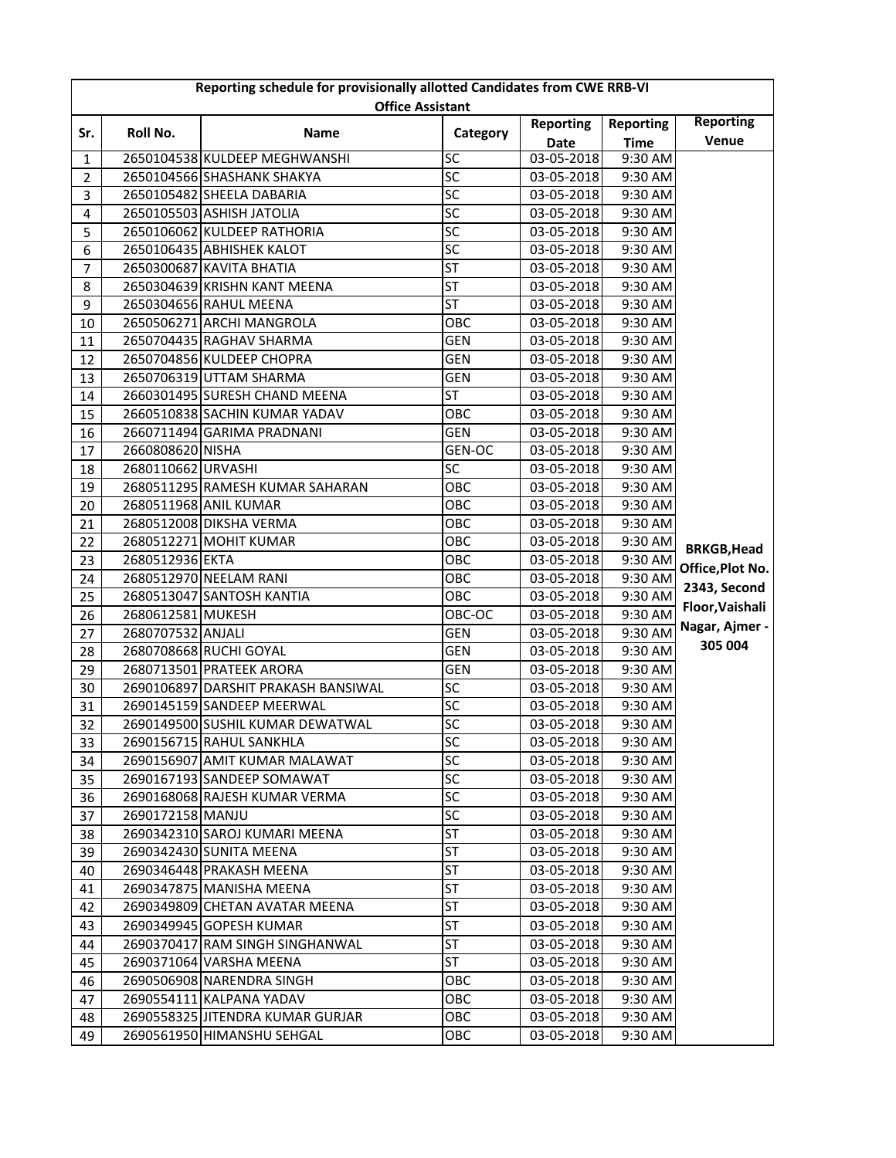| Reporting schedule for provisionally allotted Candidates from CWE RRB-VI |                    |                                     |                 |                  |                  |                    |  |  |  |  |
|--------------------------------------------------------------------------|--------------------|-------------------------------------|-----------------|------------------|------------------|--------------------|--|--|--|--|
| <b>Office Assistant</b>                                                  |                    |                                     |                 |                  |                  |                    |  |  |  |  |
| Sr.                                                                      | Roll No.           | <b>Name</b>                         | Category        | <b>Reporting</b> | <b>Reporting</b> | <b>Reporting</b>   |  |  |  |  |
|                                                                          |                    |                                     |                 | <b>Date</b>      | <b>Time</b>      | Venue              |  |  |  |  |
| $\mathbf{1}$                                                             |                    | 2650104538 KULDEEP MEGHWANSHI       | SC              | 03-05-2018       | 9:30 AM          |                    |  |  |  |  |
| $\overline{2}$                                                           |                    | 2650104566 SHASHANK SHAKYA          | SC              | 03-05-2018       | 9:30 AM          |                    |  |  |  |  |
| 3                                                                        |                    | 2650105482 SHEELA DABARIA           | SC              | 03-05-2018       | 9:30 AM          |                    |  |  |  |  |
| 4                                                                        |                    | 2650105503 ASHISH JATOLIA           | SC              | 03-05-2018       | 9:30 AM          |                    |  |  |  |  |
| 5                                                                        |                    | 2650106062 KULDEEP RATHORIA         | SC              | 03-05-2018       | 9:30 AM          |                    |  |  |  |  |
| 6                                                                        |                    | 2650106435 ABHISHEK KALOT           | SC              | 03-05-2018       | 9:30 AM          |                    |  |  |  |  |
| $\overline{7}$                                                           |                    | 2650300687 KAVITA BHATIA            | <b>ST</b>       | 03-05-2018       | 9:30 AM          |                    |  |  |  |  |
| 8                                                                        |                    | 2650304639 KRISHN KANT MEENA        | <b>ST</b>       | 03-05-2018       | 9:30 AM          |                    |  |  |  |  |
| 9                                                                        |                    | 2650304656 RAHUL MEENA              | ST              | 03-05-2018       | 9:30 AM          |                    |  |  |  |  |
| 10                                                                       |                    | 2650506271 ARCHI MANGROLA           | OBC             | 03-05-2018       | 9:30 AM          |                    |  |  |  |  |
| 11                                                                       |                    | 2650704435 RAGHAV SHARMA            | <b>GEN</b>      | 03-05-2018       | 9:30 AM          |                    |  |  |  |  |
| 12                                                                       |                    | 2650704856 KULDEEP CHOPRA           | <b>GEN</b>      | 03-05-2018       | 9:30 AM          |                    |  |  |  |  |
| 13                                                                       |                    | 2650706319 UTTAM SHARMA             | <b>GEN</b>      | 03-05-2018       | 9:30 AM          |                    |  |  |  |  |
| 14                                                                       |                    | 2660301495 SURESH CHAND MEENA       | <b>ST</b>       | 03-05-2018       | 9:30 AM          |                    |  |  |  |  |
| 15                                                                       |                    | 2660510838 SACHIN KUMAR YADAV       | OBC             | 03-05-2018       | 9:30 AM          |                    |  |  |  |  |
| 16                                                                       |                    | 2660711494 GARIMA PRADNANI          | GEN             | 03-05-2018       | 9:30 AM          |                    |  |  |  |  |
| 17                                                                       | 2660808620 NISHA   |                                     | GEN-OC          | 03-05-2018       | 9:30 AM          |                    |  |  |  |  |
| 18                                                                       | 2680110662 URVASHI |                                     | $\overline{SC}$ | 03-05-2018       | 9:30 AM          |                    |  |  |  |  |
| 19                                                                       |                    | 2680511295 RAMESH KUMAR SAHARAN     | OBC             | 03-05-2018       | 9:30 AM          |                    |  |  |  |  |
| 20                                                                       |                    | 2680511968 ANIL KUMAR               | OBC             | 03-05-2018       | 9:30 AM          |                    |  |  |  |  |
| 21                                                                       |                    | 2680512008 DIKSHA VERMA             | OBC             | 03-05-2018       | 9:30 AM          |                    |  |  |  |  |
| 22                                                                       |                    | 2680512271 MOHIT KUMAR              | OBC             | 03-05-2018       | 9:30 AM          | <b>BRKGB, Head</b> |  |  |  |  |
| 23                                                                       | 2680512936 EKTA    |                                     | OBC             | 03-05-2018       | 9:30 AM          | Office, Plot No.   |  |  |  |  |
| 24                                                                       |                    | 2680512970 NEELAM RANI              | OBC             | 03-05-2018       | 9:30 AM          |                    |  |  |  |  |
| 25                                                                       |                    | 2680513047 SANTOSH KANTIA           | OBC             | 03-05-2018       | 9:30 AM          | 2343, Second       |  |  |  |  |
| 26                                                                       | 2680612581 MUKESH  |                                     | OBC-OC          | 03-05-2018       | 9:30 AM          | Floor, Vaishali    |  |  |  |  |
| 27                                                                       | 2680707532 ANJALI  |                                     | <b>GEN</b>      | 03-05-2018       | 9:30 AM          | Nagar, Ajmer -     |  |  |  |  |
| 28                                                                       |                    | 2680708668 RUCHI GOYAL              | <b>GEN</b>      | 03-05-2018       | 9:30 AM          | 305 004            |  |  |  |  |
| 29                                                                       |                    | 2680713501 PRATEEK ARORA            | <b>GEN</b>      | 03-05-2018       | 9:30 AM          |                    |  |  |  |  |
| 30                                                                       |                    | 2690106897 DARSHIT PRAKASH BANSIWAL | <b>SC</b>       | 03-05-2018       | 9:30 AM          |                    |  |  |  |  |
| 31                                                                       |                    | 2690145159 SANDEEP MEERWAL          | $\overline{SC}$ | 03-05-2018       | 9:30 AM          |                    |  |  |  |  |
| 32                                                                       |                    | 2690149500 SUSHIL KUMAR DEWATWAL    | SC              | 03-05-2018       | 9:30 AM          |                    |  |  |  |  |
| 33                                                                       |                    | 2690156715 RAHUL SANKHLA            | <b>SC</b>       | 03-05-2018       | 9:30 AM          |                    |  |  |  |  |
| 34                                                                       |                    | 2690156907 AMIT KUMAR MALAWAT       | <b>SC</b>       | 03-05-2018       | 9:30 AM          |                    |  |  |  |  |
| 35                                                                       |                    | 2690167193 SANDEEP SOMAWAT          | SC              | 03-05-2018       | 9:30 AM          |                    |  |  |  |  |
| 36                                                                       |                    | 2690168068 RAJESH KUMAR VERMA       | SC              | 03-05-2018       | 9:30 AM          |                    |  |  |  |  |
| 37                                                                       | 2690172158 MANJU   |                                     | SC              | 03-05-2018       | 9:30 AM          |                    |  |  |  |  |
| 38                                                                       |                    | 2690342310 SAROJ KUMARI MEENA       | <b>ST</b>       | 03-05-2018       | 9:30 AM          |                    |  |  |  |  |
| 39                                                                       |                    | 2690342430 SUNITA MEENA             | ST              | 03-05-2018       | 9:30 AM          |                    |  |  |  |  |
| 40                                                                       |                    | 2690346448 PRAKASH MEENA            | ST              | 03-05-2018       | 9:30 AM          |                    |  |  |  |  |
| 41                                                                       |                    | 2690347875 MANISHA MEENA            | <b>ST</b>       | 03-05-2018       | 9:30 AM          |                    |  |  |  |  |
| 42                                                                       |                    | 2690349809 CHETAN AVATAR MEENA      | <b>ST</b>       | 03-05-2018       | 9:30 AM          |                    |  |  |  |  |
| 43                                                                       |                    | 2690349945 GOPESH KUMAR             | <b>ST</b>       | 03-05-2018       | 9:30 AM          |                    |  |  |  |  |
| 44                                                                       |                    | 2690370417 RAM SINGH SINGHANWAL     | <b>ST</b>       | 03-05-2018       | 9:30 AM          |                    |  |  |  |  |
| 45                                                                       |                    | 2690371064 VARSHA MEENA             | <b>ST</b>       | 03-05-2018       | 9:30 AM          |                    |  |  |  |  |
| 46                                                                       |                    | 2690506908 NARENDRA SINGH           | OBC             | 03-05-2018       | 9:30 AM          |                    |  |  |  |  |
| 47                                                                       |                    | 2690554111 KALPANA YADAV            | OBC             | 03-05-2018       | 9:30 AM          |                    |  |  |  |  |
| 48                                                                       |                    | 2690558325 JITENDRA KUMAR GURJAR    | OBC             | 03-05-2018       | 9:30 AM          |                    |  |  |  |  |
| 49                                                                       |                    | 2690561950 HIMANSHU SEHGAL          | OBC             | 03-05-2018       | 9:30 AM          |                    |  |  |  |  |
|                                                                          |                    |                                     |                 |                  |                  |                    |  |  |  |  |